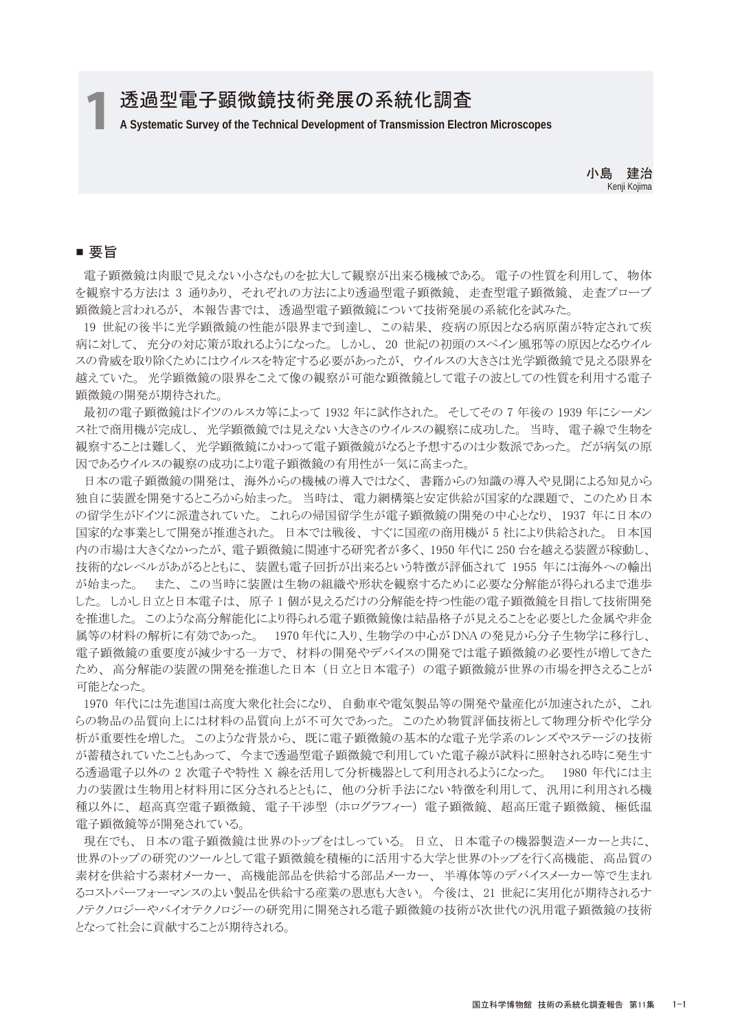# 透過型電子顕微鏡技術発展の系統化調査

1 **A Systematic Survey of the Technical Development of Transmission Electron Microscopes**

小島 建治 Kenji Kojima

## ■ 要旨

 電子顕微鏡は肉眼で見えない小さなものを拡大して観察が出来る機械である。 電子の性質を利用して、 物体 を観察する方法は 3 通りあり、 それぞれの方法により透過型電子顕微鏡、 走査型電子顕微鏡、 走査プローブ 顕微鏡と言われるが、 本報告書では、 透過型電子顕微鏡について技術発展の系統化を試みた。

 19 世紀の後半に光学顕微鏡の性能が限界まで到達し、 この結果、 疫病の原因となる病原菌が特定されて疾 病に対して、 充分の対応策が取れるようになった。 しかし、 20 世紀の初頭のスペイン風邪等の原因となるウイル スの脅威を取り除くためにはウイルスを特定する必要があったが、 ウイルスの大きさは光学顕微鏡で見える限界を 越えていた。 光学顕微鏡の限界をこえて像の観察が可能な顕微鏡として電子の波としての性質を利用する電子 顕微鏡の開発が期待された。

 最初の電子顕微鏡はドイツのルスカ等によって 1932 年に試作された。 そしてその 7 年後の 1939 年にシーメン ス社で商用機が完成し、 光学顕微鏡では見えない大きさのウイルスの観察に成功した。 当時、 電子線で生物を 観察することは難しく、 光学顕微鏡にかわって電子顕微鏡がなると予想するのは少数派であった。 だが病気の原 因であるウイルスの観察の成功により電子顕微鏡の有用性が一気に高まった。

 日本の電子顕微鏡の開発は、 海外からの機械の導入ではなく、 書籍からの知識の導入や見聞による知見から 独自に装置を開発するところから始まった。 当時は、 電力網構築と安定供給が国家的な課題で、 このため日本 の留学生がドイツに派遣されていた。 これらの帰国留学生が電子顕微鏡の開発の中心となり、 1937 年に日本の 国家的な事業として開発が推進された。 日本では戦後、 すぐに国産の商用機が 5 社により供給された。 日本国 内の市場は大きくなかったが、 電子顕微鏡に関連する研究者が多く、 1950 年代に 250 台を越える装置が稼動し、 技術的なレベルがあがるとともに、 装置も電子回折が出来るという特徴が評価されて 1955 年には海外への輸出 が始まった。 また、 この当時に装置は生物の組織や形状を観察するために必要な分解能が得られるまで進歩 した。 しかし日立と日本電子は、 原子 1 個が見えるだけの分解能を持つ性能の電子顕微鏡を目指して技術開発 を推進した。 このような高分解能化により得られる電子顕微鏡像は結晶格子が見えることを必要とした金属や非金 属等の材料の解析に有効であった。 1970 年代に入り、生物学の中心が DNA の発見から分子生物学に移行し、 電子顕微鏡の重要度が減少する一方で、 材料の開発やデバイスの開発では電子顕微鏡の必要性が増してきた ため、 高分解能の装置の開発を推進した日本 (日立と日本電子) の電子顕微鏡が世界の市場を押さえることが 可能となった。

 1970 年代には先進国は高度大衆化社会になり、 自動車や電気製品等の開発や量産化が加速されたが、 これ らの物品の品質向上には材料の品質向上が不可欠であった。 このため物質評価技術として物理分析や化学分 析が重要性を増した。 このような背景から、 既に電子顕微鏡の基本的な電子光学系のレンズやステージの技術 が蓄積されていたこともあって、 今まで透過型電子顕微鏡で利用していた電子線が試料に照射される時に発生す る透過電子以外の 2 次電子や特性 X 線を活用して分析機器として利用されるようになった。 1980 年代には主 力の装置は生物用と材料用に区分されるとともに、 他の分析手法にない特徴を利用して、 汎用に利用される機 種以外に、 超高真空電子顕微鏡、 電子干渉型 (ホログラフィー) 電子顕微鏡、 超高圧電子顕微鏡、 極低温 電子顕微鏡等が開発されている。

 現在でも、 日本の電子顕微鏡は世界のトップをはしっている。 日立、 日本電子の機器製造メーカーと共に、 世界のトップの研究のツールとして電子顕微鏡を積極的に活用する大学と世界のトップを行く高機能、 高品質の 素材を供給する素材メーカー、 高機能部品を供給する部品メーカー、 半導体等のデバイスメーカー等で生まれ るコストパーフォーマンスのよい製品を供給する産業の恩恵も大きい。 今後は、 21 世紀に実用化が期待されるナ ノテクノロジーやバイオテクノロジーの研究用に開発される電子顕微鏡の技術が次世代の汎用電子顕微鏡の技術 となって社会に貢献することが期待される。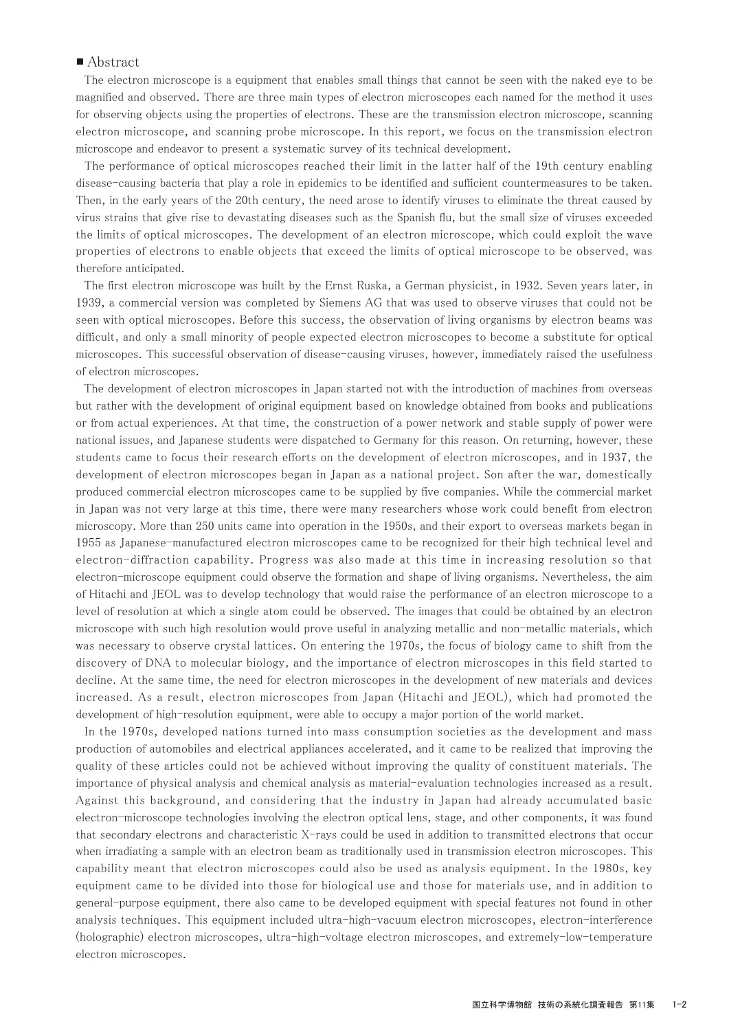### ■ Abstract

 The electron microscope is a equipment that enables small things that cannot be seen with the naked eye to be magnified and observed. There are three main types of electron microscopes each named for the method it uses for observing objects using the properties of electrons. These are the transmission electron microscope, scanning electron microscope, and scanning probe microscope. In this report, we focus on the transmission electron microscope and endeavor to present a systematic survey of its technical development.

 The performance of optical microscopes reached their limit in the latter half of the 19th century enabling disease-causing bacteria that play a role in epidemics to be identified and sufficient countermeasures to be taken. Then, in the early years of the 20th century, the need arose to identify viruses to eliminate the threat caused by virus strains that give rise to devastating diseases such as the Spanish flu, but the small size of viruses exceeded the limits of optical microscopes. The development of an electron microscope, which could exploit the wave properties of electrons to enable objects that exceed the limits of optical microscope to be observed, was therefore anticipated.

 The first electron microscope was built by the Ernst Ruska, a German physicist, in 1932. Seven years later, in 1939, a commercial version was completed by Siemens AG that was used to observe viruses that could not be seen with optical microscopes. Before this success, the observation of living organisms by electron beams was difficult, and only a small minority of people expected electron microscopes to become a substitute for optical microscopes. This successful observation of disease-causing viruses, however, immediately raised the usefulness of electron microscopes.

 The development of electron microscopes in Japan started not with the introduction of machines from overseas but rather with the development of original equipment based on knowledge obtained from books and publications or from actual experiences. At that time, the construction of a power network and stable supply of power were national issues, and Japanese students were dispatched to Germany for this reason. On returning, however, these students came to focus their research efforts on the development of electron microscopes, and in 1937, the development of electron microscopes began in Japan as a national project. Son after the war, domestically produced commercial electron microscopes came to be supplied by five companies. While the commercial market in Japan was not very large at this time, there were many researchers whose work could benefit from electron microscopy. More than 250 units came into operation in the 1950s, and their export to overseas markets began in 1955 as Japanese-manufactured electron microscopes came to be recognized for their high technical level and electron-diffraction capability. Progress was also made at this time in increasing resolution so that electron-microscope equipment could observe the formation and shape of living organisms. Nevertheless, the aim of Hitachi and JEOL was to develop technology that would raise the performance of an electron microscope to a level of resolution at which a single atom could be observed. The images that could be obtained by an electron microscope with such high resolution would prove useful in analyzing metallic and non-metallic materials, which was necessary to observe crystal lattices. On entering the 1970s, the focus of biology came to shift from the discovery of DNA to molecular biology, and the importance of electron microscopes in this field started to decline. At the same time, the need for electron microscopes in the development of new materials and devices increased. As a result, electron microscopes from Japan (Hitachi and JEOL), which had promoted the development of high-resolution equipment, were able to occupy a major portion of the world market.

 In the 1970s, developed nations turned into mass consumption societies as the development and mass production of automobiles and electrical appliances accelerated, and it came to be realized that improving the quality of these articles could not be achieved without improving the quality of constituent materials. The importance of physical analysis and chemical analysis as material-evaluation technologies increased as a result. Against this background, and considering that the industry in Japan had already accumulated basic electron-microscope technologies involving the electron optical lens, stage, and other components, it was found that secondary electrons and characteristic X-rays could be used in addition to transmitted electrons that occur when irradiating a sample with an electron beam as traditionally used in transmission electron microscopes. This capability meant that electron microscopes could also be used as analysis equipment. In the 1980s, key equipment came to be divided into those for biological use and those for materials use, and in addition to general-purpose equipment, there also came to be developed equipment with special features not found in other analysis techniques. This equipment included ultra-high-vacuum electron microscopes, electron-interference (holographic) electron microscopes, ultra-high-voltage electron microscopes, and extremely-low-temperature electron microscopes.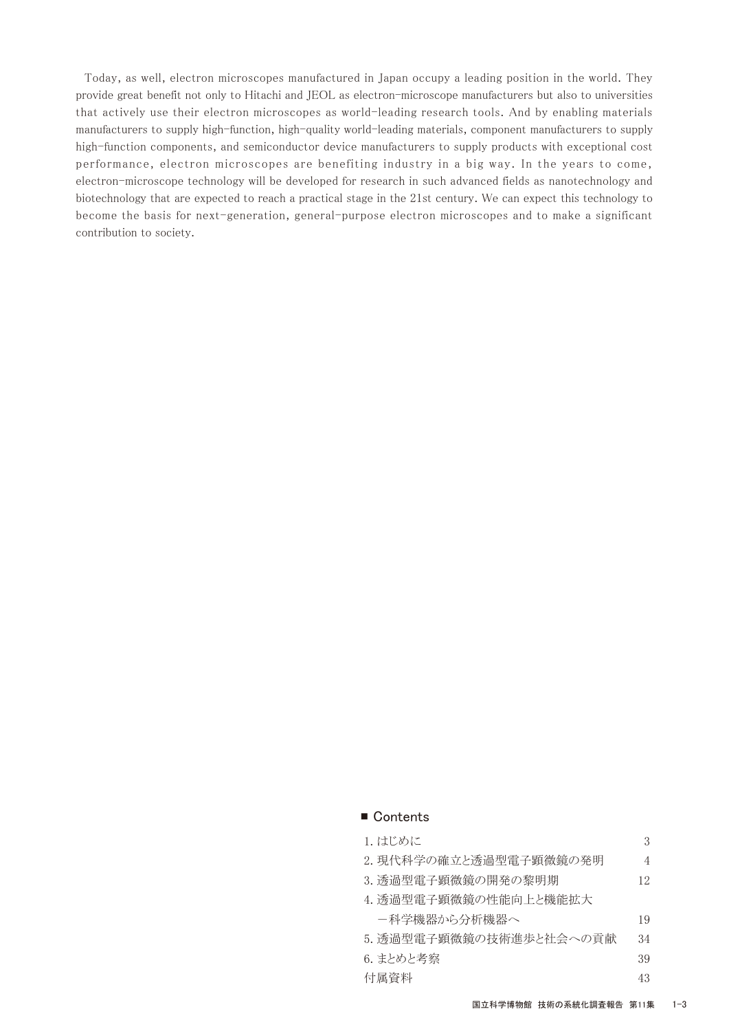Today, as well, electron microscopes manufactured in Japan occupy a leading position in the world. They provide great benefit not only to Hitachi and JEOL as electron-microscope manufacturers but also to universities that actively use their electron microscopes as world-leading research tools. And by enabling materials manufacturers to supply high-function, high-quality world-leading materials, component manufacturers to supply high-function components, and semiconductor device manufacturers to supply products with exceptional cost performance, electron microscopes are benefiting industry in a big way. In the years to come, electron-microscope technology will be developed for research in such advanced fields as nanotechnology and biotechnology that are expected to reach a practical stage in the 21st century. We can expect this technology to become the basis for next-generation, general-purpose electron microscopes and to make a significant contribution to society.

#### ■ Contents

| 1. はじめに                 | З  |
|-------------------------|----|
| 2.現代科学の確立と透過型電子顕微鏡の発明   | 4  |
| 3. 透過型電子顕微鏡の開発の黎明期      | 12 |
| 4. 透過型電子顕微鏡の性能向上と機能拡大   |    |
| -科学機器から分析機器へ            | 19 |
| 5. 透過型電子顕微鏡の技術進歩と社会への貢献 | 34 |
| 6. まとめと考察               | 39 |
| 付属資料                    | 43 |
|                         |    |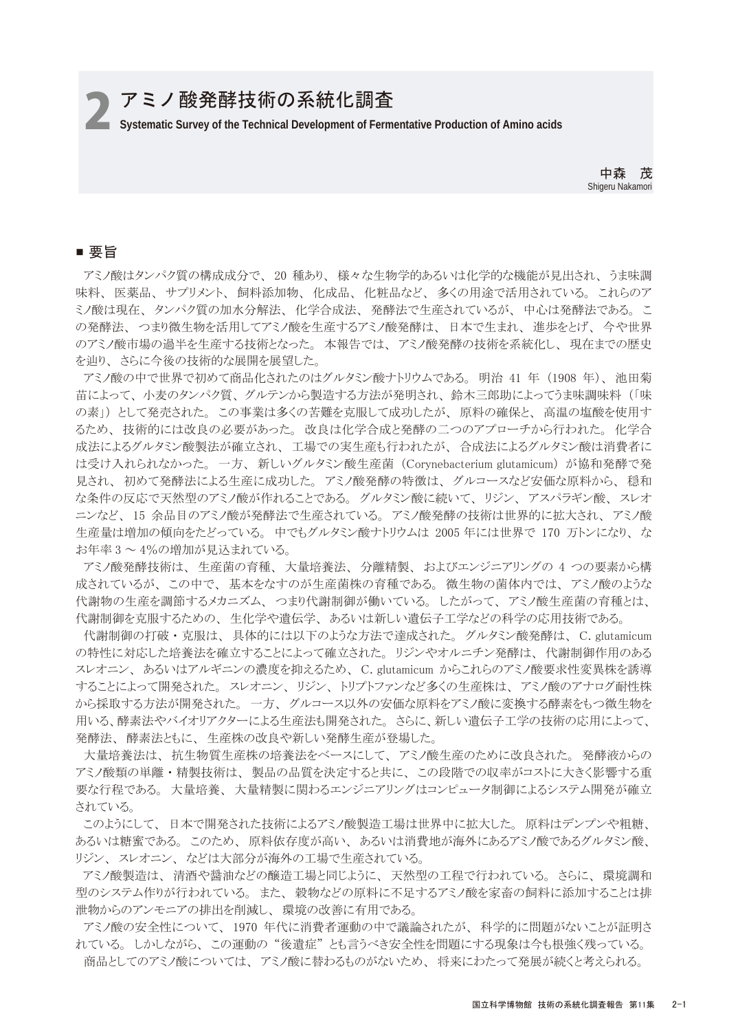# アミノ酸発酵技術の系統化調査

2**Systematic Survey of the Technical Development of Fermentative Production of Amino acids**

中森 茂 Shigeru Nakamori

## ■ 要旨

 アミノ酸はタンパク質の構成成分で、 20 種あり、 様々な生物学的あるいは化学的な機能が見出され、 うま味調 味料、 医薬品、 サプリメント、 飼料添加物、 化成品、 化粧品など、 多くの用途で活用されている。 これらのア ミノ酸は現在、 タンパク質の加水分解法、 化学合成法、 発酵法で生産されているが、 中心は発酵法である。 こ の発酵法、つまり微生物を活用してアミノ酸を生産するアミノ酸発酵は、日本で生まれ、進歩をとげ、今や世界 のアミノ酸市場の過半を生産する技術となった。 本報告では、 アミノ酸発酵の技術を系統化し、 現在までの歴史 を辿り、 さらに今後の技術的な展開を展望した。

 アミノ酸の中で世界で初めて商品化されたのはグルタミン酸ナトリウムである。 明治 41 年 (1908 年)、 池田菊 苗によって、 小麦のタンパク質、 グルテンから製造する方法が発明され、 鈴木三郎助によってうま味調味料 (「味 の素」) として発売された。 この事業は多くの苦難を克服して成功したが、 原料の確保と、 高温の塩酸を使用す るため、 技術的には改良の必要があった。 改良は化学合成と発酵の二つのアプローチから行われた。 化学合 成法によるグルタミン酸製法が確立され、 工場での実生産も行われたが、 合成法によるグルタミン酸は消費者に は受け入れられなかった。 一方、 新しいグルタミン酸生産菌 (Corynebacterium glutamicum) が協和発酵で発 見され、 初めて発酵法による生産に成功した。 アミノ酸発酵の特徴は、 グルコースなど安価な原料から、 穏和 な条件の反応で天然型のアミノ酸が作れることである。 グルタミン酸に続いて、 リジン、 アスパラギン酸、 スレオ ニンなど、 15 余品目のアミノ酸が発酵法で生産されている。 アミノ酸発酵の技術は世界的に拡大され、 アミノ酸 生産量は増加の傾向をたどっている。 中でもグルタミン酸ナトリウムは 2005 年には世界で 170 万トンになり、 な お年率 3 ~ 4%の増加が見込まれている。

 アミノ酸発酵技術は、 生産菌の育種、 大量培養法、 分離精製、 およびエンジニアリングの 4 つの要素から構 成されているが、 この中で、 基本をなすのが生産菌株の育種である。 微生物の菌体内では、 アミノ酸のような 代謝物の生産を調節するメカニズム、 つまり代謝制御が働いている。 したがって、 アミノ酸生産菌の育種とは、 代謝制御を克服するための、 生化学や遺伝学、 あるいは新しい遺伝子工学などの科学の応用技術である。

 代謝制御の打破 ・ 克服は、 具体的には以下のような方法で達成された。 グルタミン酸発酵は、 C. glutamicum の特性に対応した培養法を確立することによって確立された。 リジンやオルニチン発酵は、 代謝制御作用のある スレオニン、 あるいはアルギニンの濃度を抑えるため、 C. glutamicum からこれらのアミノ酸要求性変異株を誘導 することによって開発された。 スレオニン、 リジン、 トリプトファンなど多くの生産株は、 アミノ酸のアナログ耐性株 から採取する方法が開発された。 一方、 グルコース以外の安価な原料をアミノ酸に変換する酵素をもつ微生物を 用いる、酵素法やバイオリアクターによる生産法も開発された。 さらに、新しい遺伝子工学の技術の応用によって、 発酵法、 酵素法ともに、 生産株の改良や新しい発酵生産が登場した。

 大量培養法は、 抗生物質生産株の培養法をベースにして、 アミノ酸生産のために改良された。 発酵液からの アミノ酸類の単離・精製技術は、製品の品質を決定すると共に、この段階での収率がコストに大きく影響する重 要な行程である。 大量培養、 大量精製に関わるエンジニアリングはコンピュータ制御によるシステム開発が確立 されている。

 このようにして、 日本で開発された技術によるアミノ酸製造工場は世界中に拡大した。 原料はデンプンや粗糖、 あるいは糖蜜である。 このため、 原料依存度が高い、 あるいは消費地が海外にあるアミノ酸であるグルタミン酸、 リジン、 スレオニン、 などは大部分が海外の工場で生産されている。

 アミノ酸製造は、 清酒や醤油などの醸造工場と同じように、 天然型の工程で行われている。 さらに、 環境調和 型のシステム作りが行われている。 また、 穀物などの原料に不足するアミノ酸を家畜の飼料に添加することは排 泄物からのアンモニアの排出を削減し、 環境の改善に有用である。

 アミノ酸の安全性について、 1970 年代に消費者運動の中で議論されたが、 科学的に問題がないことが証明さ れている。 しかしながら、 この運動の "後遺症" とも言うべき安全性を問題にする現象は今も根強く残っている。 商品としてのアミノ酸については、 アミノ酸に替わるものがないため、 将来にわたって発展が続くと考えられる。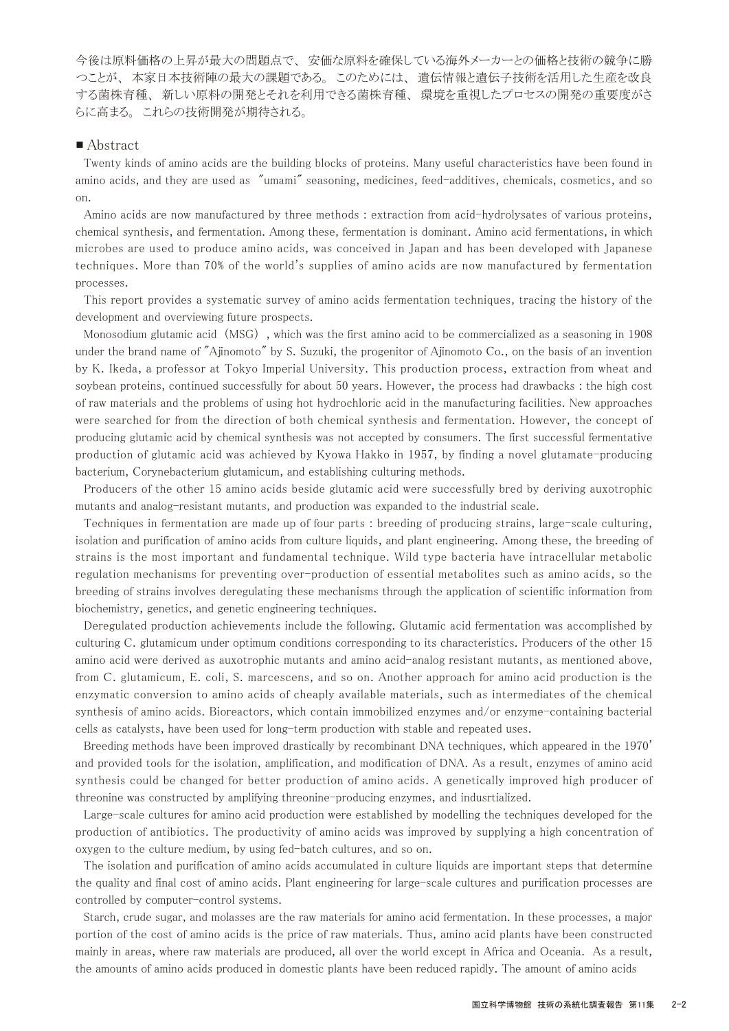今後は原料価格の上昇が最大の問題点で、 安価な原料を確保している海外メーカーとの価格と技術の競争に勝 つことが、 本家日本技術陣の最大の課題である。 このためには、 遺伝情報と遺伝子技術を活用した生産を改良 する菌株育種、 新しい原料の開発とそれを利用できる菌株育種、 環境を重視したプロセスの開発の重要度がさ らに高まる。 これらの技術開発が期待される。

#### ■ Abstract

 Twenty kinds of amino acids are the building blocks of proteins. Many useful characteristics have been found in amino acids, and they are used as "umami" seasoning, medicines, feed-additives, chemicals, cosmetics, and so on.

 Amino acids are now manufactured by three methods : extraction from acid-hydrolysates of various proteins, chemical synthesis, and fermentation. Among these, fermentation is dominant. Amino acid fermentations, in which microbes are used to produce amino acids, was conceived in Japan and has been developed with Japanese techniques. More than 70% of the world's supplies of amino acids are now manufactured by fermentation processes.

 This report provides a systematic survey of amino acids fermentation techniques, tracing the history of the development and overviewing future prospects.

 Monosodium glutamic acid (MSG) , which was the first amino acid to be commercialized as a seasoning in 1908 under the brand name of "Ajinomoto" by S. Suzuki, the progenitor of Ajinomoto Co., on the basis of an invention by K. Ikeda, a professor at Tokyo Imperial University. This production process, extraction from wheat and soybean proteins, continued successfully for about 50 years. However, the process had drawbacks : the high cost of raw materials and the problems of using hot hydrochloric acid in the manufacturing facilities. New approaches were searched for from the direction of both chemical synthesis and fermentation. However, the concept of producing glutamic acid by chemical synthesis was not accepted by consumers. The first successful fermentative production of glutamic acid was achieved by Kyowa Hakko in 1957, by finding a novel glutamate-producing bacterium, Corynebacterium glutamicum, and establishing culturing methods.

 Producers of the other 15 amino acids beside glutamic acid were successfully bred by deriving auxotrophic mutants and analog-resistant mutants, and production was expanded to the industrial scale.

 Techniques in fermentation are made up of four parts : breeding of producing strains, large-scale culturing, isolation and purification of amino acids from culture liquids, and plant engineering. Among these, the breeding of strains is the most important and fundamental technique. Wild type bacteria have intracellular metabolic regulation mechanisms for preventing over-production of essential metabolites such as amino acids, so the breeding of strains involves deregulating these mechanisms through the application of scientific information from biochemistry, genetics, and genetic engineering techniques.

 Deregulated production achievements include the following. Glutamic acid fermentation was accomplished by culturing C. glutamicum under optimum conditions corresponding to its characteristics. Producers of the other 15 amino acid were derived as auxotrophic mutants and amino acid-analog resistant mutants, as mentioned above, from C. glutamicum, E. coli, S. marcescens, and so on. Another approach for amino acid production is the enzymatic conversion to amino acids of cheaply available materials, such as intermediates of the chemical synthesis of amino acids. Bioreactors, which contain immobilized enzymes and/or enzyme-containing bacterial cells as catalysts, have been used for long-term production with stable and repeated uses.

 Breeding methods have been improved drastically by recombinant DNA techniques, which appeared in the 1970' and provided tools for the isolation, amplification, and modification of DNA. As a result, enzymes of amino acid synthesis could be changed for better production of amino acids. A genetically improved high producer of threonine was constructed by amplifying threonine-producing enzymes, and indusrtialized.

 Large-scale cultures for amino acid production were established by modelling the techniques developed for the production of antibiotics. The productivity of amino acids was improved by supplying a high concentration of oxygen to the culture medium, by using fed-batch cultures, and so on.

 The isolation and purification of amino acids accumulated in culture liquids are important steps that determine the quality and final cost of amino acids. Plant engineering for large-scale cultures and purification processes are controlled by computer-control systems.

 Starch, crude sugar, and molasses are the raw materials for amino acid fermentation. In these processes, a major portion of the cost of amino acids is the price of raw materials. Thus, amino acid plants have been constructed mainly in areas, where raw materials are produced, all over the world except in Africa and Oceania. As a result, the amounts of amino acids produced in domestic plants have been reduced rapidly. The amount of amino acids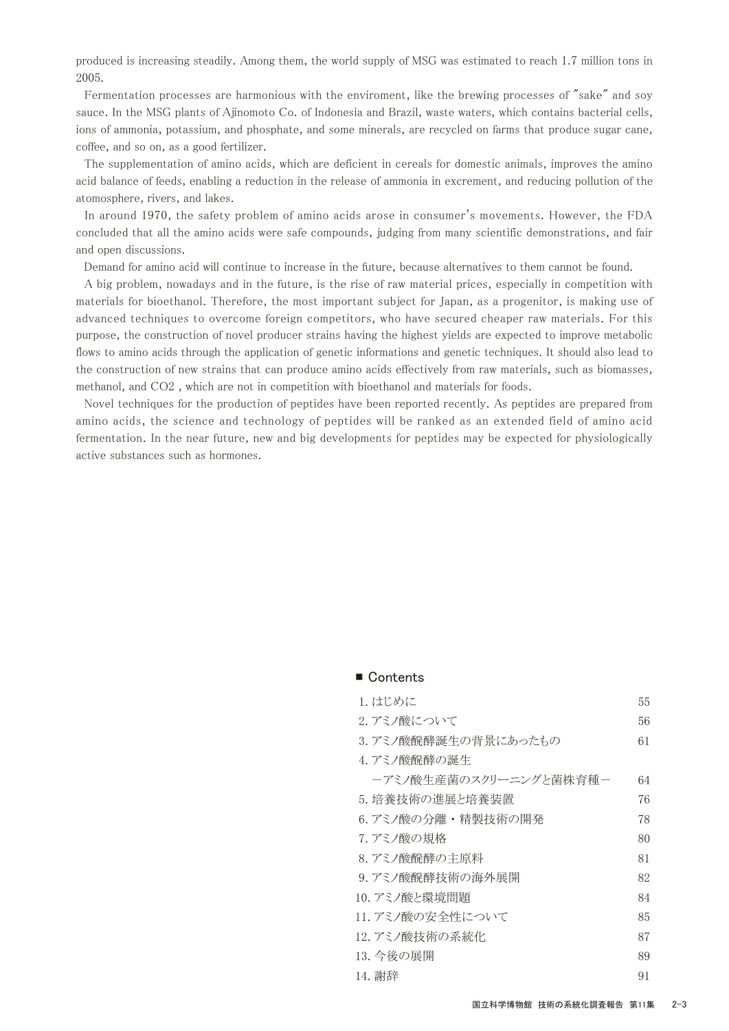produced is increasing steadily. Among them, the world supply of MSG was estimated to reach 1.7 million tons in 2005.

 Fermentation processes are harmonious with the enviroment, like the brewing processes of "sake" and soy sauce. In the MSG plants of Ajinomoto Co. of Indonesia and Brazil, waste waters, which contains bacterial cells, ions of ammonia, potassium, and phosphate, and some minerals, are recycled on farms that produce sugar cane, coffee, and so on, as a good fertilizer.

 The supplementation of amino acids, which are deficient in cereals for domestic animals, improves the amino acid balance of feeds, enabling a reduction in the release of ammonia in excrement, and reducing pollution of the atomosphere, rivers, and lakes.

 In around 1970, the safety problem of amino acids arose in consumer's movements. However, the FDA concluded that all the amino acids were safe compounds, judging from many scientific demonstrations, and fair and open discussions.

Demand for amino acid will continue to increase in the future, because alternatives to them cannot be found.

 A big problem, nowadays and in the future, is the rise of raw material prices, especially in competition with materials for bioethanol. Therefore, the most important subject for Japan, as a progenitor, is making use of advanced techniques to overcome foreign competitors, who have secured cheaper raw materials. For this purpose, the construction of novel producer strains having the highest yields are expected to improve metabolic flows to amino acids through the application of genetic informations and genetic techniques. It should also lead to the construction of new strains that can produce amino acids effectively from raw materials, such as biomasses, methanol, and CO2 , which are not in competition with bioethanol and materials for foods.

 Novel techniques for the production of peptides have been reported recently. As peptides are prepared from amino acids, the science and technology of peptides will be ranked as an extended field of amino acid fermentation. In the near future, new and big developments for peptides may be expected for physiologically active substances such as hormones.

## ■ Contents

| 1. はじめに                | 55 |
|------------------------|----|
| 2. アミノ酸について            | 56 |
| 3. アミノ酸醗酵誕生の背景にあったもの   | 61 |
| 4. アミノ酸醗酵の誕生           |    |
| ーアミノ酸生産菌のスクリーニングと菌株育種- | 64 |
| 5. 培養技術の進展と培養装置        | 76 |
| 6. アミノ酸の分離・精製技術の開発     | 78 |
| 7. アミノ酸の規格             | 80 |
| 8. アミノ酸醗酵の主原料          | 81 |
| 9. アミノ酸醗酵技術の海外展開       | 82 |
| 10. アミノ酸と環境問題          | 84 |
| 11. アミノ酸の安全性について       | 85 |
| 12. アミノ酸技術の系統化         | 87 |
| 13. 今後の展開              | 89 |
| 14. 謝辞                 | 91 |
|                        |    |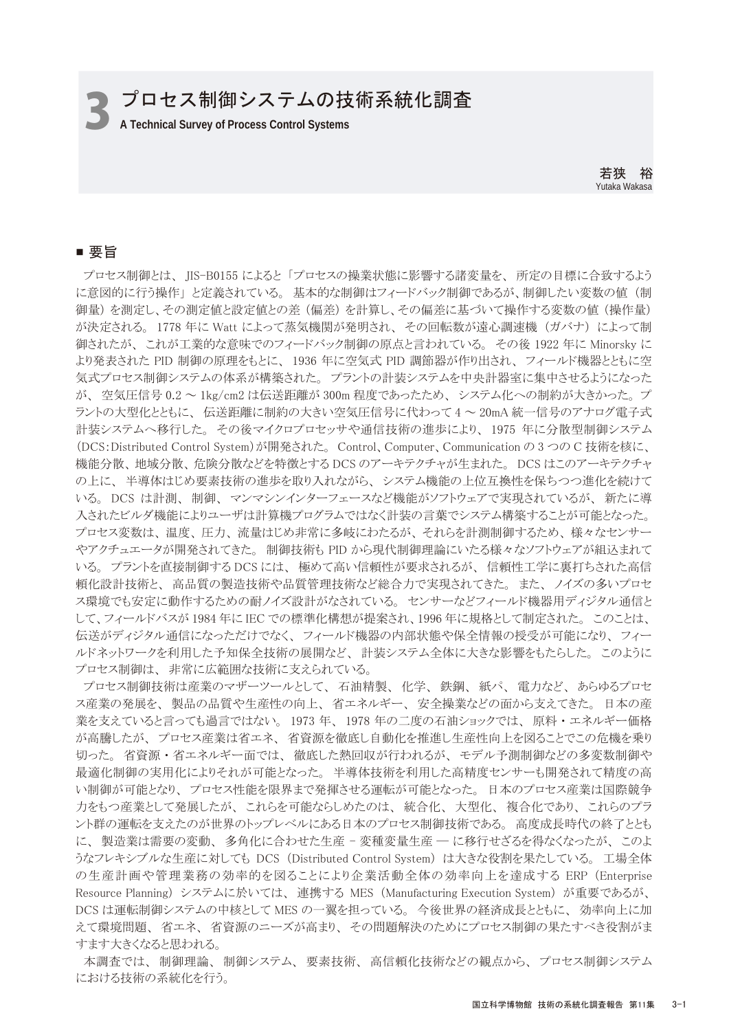プロセス制御システムの技術系統化調査

3 **A Technical Survey of Process Control Systems**

若狭 裕 Yutaka Wakasa

## ■ 要旨

 プロセス制御とは、 JIS-B0155 によると 「プロセスの操業状態に影響する諸変量を、 所定の目標に合致するよう に意図的に行う操作」 と定義されている。 基本的な制御はフィードバック制御であるが、制御したい変数の値 (制 御量) を測定し、その測定値と設定値との差 (偏差) を計算し、その偏差に基づいて操作する変数の値 (操作量) が決定される。 1778 年に Watt によって蒸気機関が発明され、 その回転数が遠心調速機 (ガバナ) によって制 御されたが、 これが工業的な意味でのフィードバック制御の原点と言われている。 その後 1922 年に Minorsky に より発表された PID 制御の原理をもとに、 1936 年に空気式 PID 調節器が作り出され、 フィールド機器とともに空 気式プロセス制御システムの体系が構築された。 プラントの計装システムを中央計器室に集中させるようになった が、 空気圧信号 0.2 ~ 1kg/cm2 は伝送距離が 300m 程度であったため、 システム化への制約が大きかった。 プ ラントの大型化とともに、 伝送距離に制約の大きい空気圧信号に代わって 4 ~ 20mA 統一信号のアナログ電子式 計装システムへ移行した。 その後マイクロプロセッサや通信技術の進歩により、 1975 年に分散型制御システム (DCS:Distributed Control System)が開発された。 Control、Computer、Communication の 3 つの C 技術を核に、 機能分散、 地域分散、 危険分散などを特徴とする DCS のアーキテクチャが生まれた。 DCS はこのアーキテクチャ の上に、 半導体はじめ要素技術の進歩を取り入れながら、 システム機能の上位互換性を保ちつつ進化を続けて いる。 DCS は計測、 制御、 マンマシンインターフェースなど機能がソフトウェアで実現されているが、 新たに導 入されたビルダ機能によりユーザは計算機プログラムではなく計装の言葉でシステム構築することが可能となった。 プロセス変数は、 温度、 圧力、 流量はじめ非常に多岐にわたるが、 それらを計測制御するため、 様々なセンサー やアクチュエータが開発されてきた。 制御技術も PID から現代制御理論にいたる様々なソフトウェアが組込まれて いる。 プラントを直接制御する DCS には、 極めて高い信頼性が要求されるが、 信頼性工学に裏打ちされた高信 頼化設計技術と、 高品質の製造技術や品質管理技術など総合力で実現されてきた。 また、 ノイズの多いプロセ ス環境でも安定に動作するための耐ノイズ設計がなされている。 センサーなどフィールド機器用ディジタル通信と して、フィールドバスが 1984 年に IEC での標準化構想が提案され、1996 年に規格として制定された。 このことは、 伝送がディジタル通信になっただけでなく、 フィールド機器の内部状態や保全情報の授受が可能になり、 フィー ルドネットワークを利用した予知保全技術の展開など、 計装システム全体に大きな影響をもたらした。 このように プロセス制御は、 非常に広範囲な技術に支えられている。

 プロセス制御技術は産業のマザーツールとして、 石油精製、 化学、 鉄鋼、 紙パ、 電力など、 あらゆるプロセ ス産業の発展を、 製品の品質や生産性の向上、 省エネルギー、 安全操業などの面から支えてきた。 日本の産 業を支えていると言っても過言ではない。 1973 年、 1978 年の二度の石油ショックでは、 原料 ・ エネルギー価格 が高騰したが、 プロセス産業は省エネ、 省資源を徹底し自動化を推進し生産性向上を図ることでこの危機を乗り 切った。 省資源 ・ 省エネルギー面では、 徹底した熱回収が行われるが、 モデル予測制御などの多変数制御や 最適化制御の実用化によりそれが可能となった。 半導体技術を利用した高精度センサーも開発されて精度の高 い制御が可能となり、 プロセス性能を限界まで発揮させる運転が可能となった。 日本のプロセス産業は国際競争 力をもつ産業として発展したが、 これらを可能ならしめたのは、 統合化、 大型化、 複合化であり、 これらのプラ ント群の運転を支えたのが世界のトップレベルにある日本のプロセス制御技術である。 高度成長時代の終了ととも に、 製造業は需要の変動、 多角化に合わせた生産 - 変種変量生産 ― に移行せざるを得なくなったが、 このよ うなフレキシブルな生産に対しても DCS (Distributed Control System) は大きな役割を果たしている。 工場全体 の生産計画や管理業務の効率的を図ることにより企業活動全体の効率向上を達成する ERP (Enterprise Resource Planning) システムに於いては、 連携する MES (Manufacturing Execution System) が重要であるが、 DCS は運転制御システムの中核として MES の一翼を担っている。 今後世界の経済成長とともに、 効率向上に加 えて環境問題、 省エネ、 省資源のニーズが高まり、 その問題解決のためにプロセス制御の果たすべき役割がま すます大きくなると思われる。

 本調査では、 制御理論、 制御システム、 要素技術、 高信頼化技術などの観点から、 プロセス制御システム における技術の系統化を行う。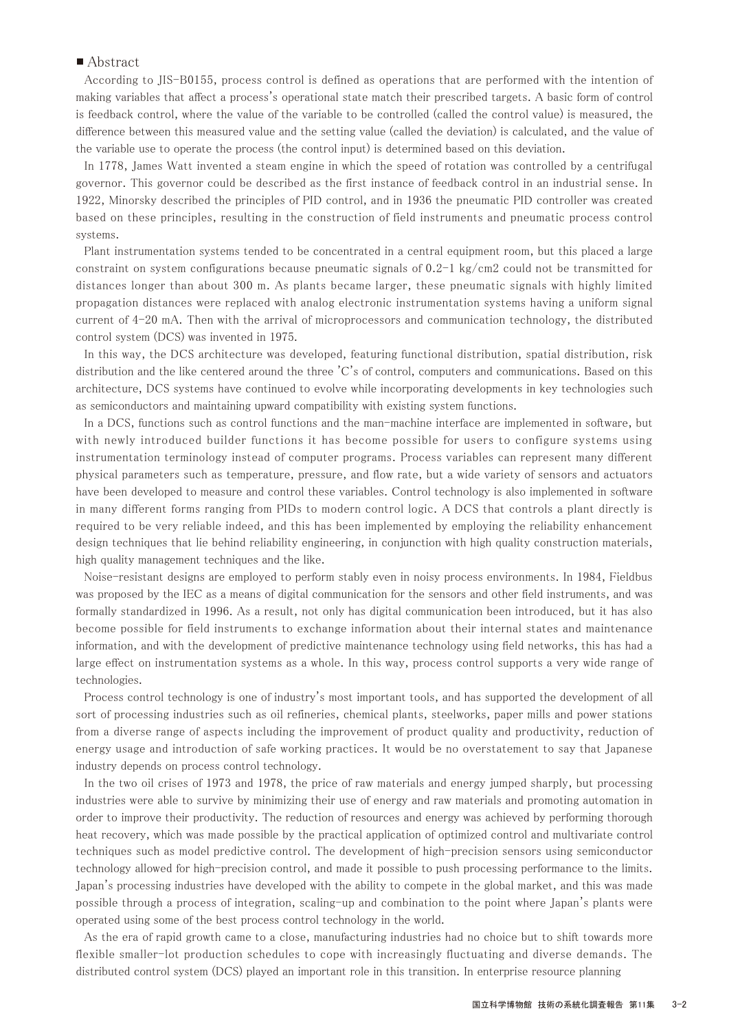### ■ Abstract

 According to JIS-B0155, process control is defined as operations that are performed with the intention of making variables that affect a process's operational state match their prescribed targets. A basic form of control is feedback control, where the value of the variable to be controlled (called the control value) is measured, the difference between this measured value and the setting value (called the deviation) is calculated, and the value of the variable use to operate the process (the control input) is determined based on this deviation.

 In 1778, James Watt invented a steam engine in which the speed of rotation was controlled by a centrifugal governor. This governor could be described as the first instance of feedback control in an industrial sense. In 1922, Minorsky described the principles of PID control, and in 1936 the pneumatic PID controller was created based on these principles, resulting in the construction of field instruments and pneumatic process control systems.

 Plant instrumentation systems tended to be concentrated in a central equipment room, but this placed a large constraint on system configurations because pneumatic signals of 0.2-1 kg/cm2 could not be transmitted for distances longer than about 300 m. As plants became larger, these pneumatic signals with highly limited propagation distances were replaced with analog electronic instrumentation systems having a uniform signal current of 4-20 mA. Then with the arrival of microprocessors and communication technology, the distributed control system (DCS) was invented in 1975.

 In this way, the DCS architecture was developed, featuring functional distribution, spatial distribution, risk distribution and the like centered around the three 'C's of control, computers and communications. Based on this architecture, DCS systems have continued to evolve while incorporating developments in key technologies such as semiconductors and maintaining upward compatibility with existing system functions.

 In a DCS, functions such as control functions and the man-machine interface are implemented in software, but with newly introduced builder functions it has become possible for users to configure systems using instrumentation terminology instead of computer programs. Process variables can represent many different physical parameters such as temperature, pressure, and flow rate, but a wide variety of sensors and actuators have been developed to measure and control these variables. Control technology is also implemented in software in many different forms ranging from PIDs to modern control logic. A DCS that controls a plant directly is required to be very reliable indeed, and this has been implemented by employing the reliability enhancement design techniques that lie behind reliability engineering, in conjunction with high quality construction materials, high quality management techniques and the like.

 Noise-resistant designs are employed to perform stably even in noisy process environments. In 1984, Fieldbus was proposed by the IEC as a means of digital communication for the sensors and other field instruments, and was formally standardized in 1996. As a result, not only has digital communication been introduced, but it has also become possible for field instruments to exchange information about their internal states and maintenance information, and with the development of predictive maintenance technology using field networks, this has had a large effect on instrumentation systems as a whole. In this way, process control supports a very wide range of technologies.

 Process control technology is one of industry's most important tools, and has supported the development of all sort of processing industries such as oil refineries, chemical plants, steelworks, paper mills and power stations from a diverse range of aspects including the improvement of product quality and productivity, reduction of energy usage and introduction of safe working practices. It would be no overstatement to say that Japanese industry depends on process control technology.

 In the two oil crises of 1973 and 1978, the price of raw materials and energy jumped sharply, but processing industries were able to survive by minimizing their use of energy and raw materials and promoting automation in order to improve their productivity. The reduction of resources and energy was achieved by performing thorough heat recovery, which was made possible by the practical application of optimized control and multivariate control techniques such as model predictive control. The development of high-precision sensors using semiconductor technology allowed for high-precision control, and made it possible to push processing performance to the limits. Japan's processing industries have developed with the ability to compete in the global market, and this was made possible through a process of integration, scaling-up and combination to the point where Japan's plants were operated using some of the best process control technology in the world.

 As the era of rapid growth came to a close, manufacturing industries had no choice but to shift towards more flexible smaller-lot production schedules to cope with increasingly fluctuating and diverse demands. The distributed control system (DCS) played an important role in this transition. In enterprise resource planning